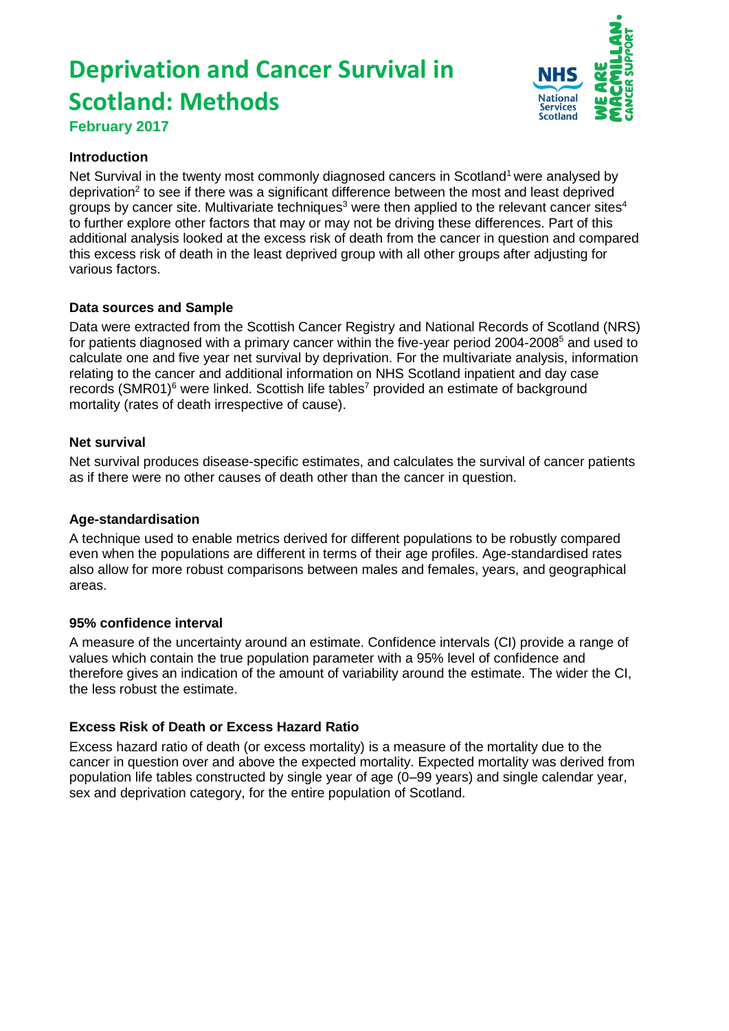# **Deprivation and Cancer Survival in Scotland: Methods February 2017**



#### **Introduction**

Net Survival in the twenty most commonly diagnosed cancers in Scotland<sup>1</sup> were analysed by deprivation<sup>2</sup> to see if there was a significant difference between the most and least deprived groups by cancer site. Multivariate techniques<sup>3</sup> were then applied to the relevant cancer sites<sup>4</sup> to further explore other factors that may or may not be driving these differences. Part of this additional analysis looked at the excess risk of death from the cancer in question and compared this excess risk of death in the least deprived group with all other groups after adjusting for various factors.

# **Data sources and Sample**

Data were extracted from the Scottish Cancer Registry and National Records of Scotland (NRS) for patients diagnosed with a primary cancer within the five-year period 2004-2008<sup>5</sup> and used to calculate one and five year net survival by deprivation. For the multivariate analysis, information relating to the cancer and additional information on NHS Scotland inpatient and day case records (SMR01)<sup>6</sup> were linked. Scottish life tables<sup>7</sup> provided an estimate of background mortality (rates of death irrespective of cause).

#### **Net survival**

Net survival produces disease-specific estimates, and calculates the survival of cancer patients as if there were no other causes of death other than the cancer in question.

#### **Age-standardisation**

A technique used to enable metrics derived for different populations to be robustly compared even when the populations are different in terms of their age profiles. Age-standardised rates also allow for more robust comparisons between males and females, years, and geographical areas.

# **95% confidence interval**

A measure of the uncertainty around an estimate. Confidence intervals (CI) provide a range of values which contain the true population parameter with a 95% level of confidence and therefore gives an indication of the amount of variability around the estimate. The wider the CI, the less robust the estimate.

# **Excess Risk of Death or Excess Hazard Ratio**

Excess hazard ratio of death (or excess mortality) is a measure of the mortality due to the cancer in question over and above the expected mortality. Expected mortality was derived from population life tables constructed by single year of age (0–99 years) and single calendar year, sex and deprivation category, for the entire population of Scotland.